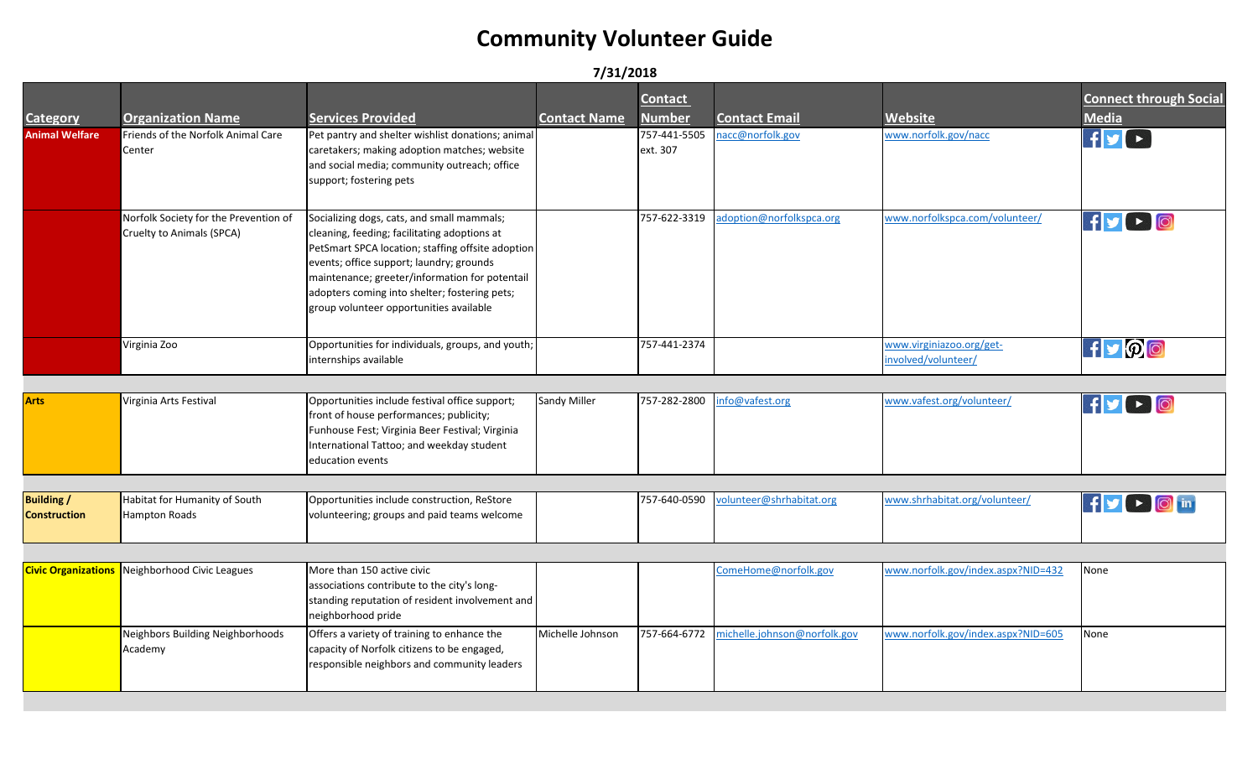#### **7/31/2018**

| <b>Category</b>                          | <b>Organization Name</b>                                           | <b>Services Provided</b>                                                                                                                                                                                                                                                                                                                  | <b>Contact Name</b> | <b>Contact</b><br><b>Number</b> | <b>Contact Email</b>         | Website                                         | <b>Connect through Social</b><br><b>Media</b> |
|------------------------------------------|--------------------------------------------------------------------|-------------------------------------------------------------------------------------------------------------------------------------------------------------------------------------------------------------------------------------------------------------------------------------------------------------------------------------------|---------------------|---------------------------------|------------------------------|-------------------------------------------------|-----------------------------------------------|
| <b>Animal Welfare</b>                    | Friends of the Norfolk Animal Care<br>Center                       | Pet pantry and shelter wishlist donations; animal<br>caretakers; making adoption matches; website<br>and social media; community outreach; office<br>support; fostering pets                                                                                                                                                              |                     | 757-441-5505<br>ext. 307        | acc@norfolk.gov              | www.norfolk.gov/nacc                            | $f$ y $\rightarrow$                           |
|                                          | Norfolk Society for the Prevention of<br>Cruelty to Animals (SPCA) | Socializing dogs, cats, and small mammals;<br>cleaning, feeding; facilitating adoptions at<br>PetSmart SPCA location; staffing offsite adoption<br>events; office support; laundry; grounds<br>maintenance; greeter/information for potentail<br>adopters coming into shelter; fostering pets;<br>group volunteer opportunities available |                     | 757-622-3319                    | adoption@norfolkspca.org     | www.norfolkspca.com/volunteer/                  | $f \rightarrow 0$                             |
|                                          | Virginia Zoo                                                       | Opportunities for individuals, groups, and youth;<br>internships available                                                                                                                                                                                                                                                                |                     | 757-441-2374                    |                              | www.virginiazoo.org/get-<br>involved/volunteer/ | $H$ $\mathcal{P}$ $\odot$                     |
|                                          |                                                                    |                                                                                                                                                                                                                                                                                                                                           |                     |                                 |                              |                                                 |                                               |
| <b>Arts</b>                              | Virginia Arts Festival                                             | Opportunities include festival office support;<br>front of house performances; publicity;<br>Funhouse Fest; Virginia Beer Festival; Virginia<br>International Tattoo; and weekday student<br>education events                                                                                                                             | Sandy Miller        | 757-282-2800                    | info@vafest.org              | www.vafest.org/volunteer/                       | $\mathbf{F}$ $\mathbf{F}$ $\mathbf{F}$        |
|                                          |                                                                    |                                                                                                                                                                                                                                                                                                                                           |                     |                                 |                              |                                                 |                                               |
| <b>Building /</b><br><b>Construction</b> | Habitat for Humanity of South<br>Hampton Roads                     | Opportunities include construction, ReStore<br>volunteering; groups and paid teams welcome                                                                                                                                                                                                                                                |                     | 757-640-0590                    | volunteer@shrhabitat.org     | www.shrhabitat.org/volunteer/                   | If y   D   in                                 |
|                                          |                                                                    |                                                                                                                                                                                                                                                                                                                                           |                     |                                 |                              |                                                 |                                               |
| <b>Civic Organizations</b>               | Neighborhood Civic Leagues                                         | More than 150 active civic<br>associations contribute to the city's long-<br>standing reputation of resident involvement and<br>neighborhood pride                                                                                                                                                                                        |                     |                                 | ComeHome@norfolk.gov         | www.norfolk.gov/index.aspx?NID=432              | None                                          |
|                                          | Neighbors Building Neighborhoods<br>Academy                        | Offers a variety of training to enhance the<br>capacity of Norfolk citizens to be engaged,<br>responsible neighbors and community leaders                                                                                                                                                                                                 | Michelle Johnson    | 757-664-6772                    | nichelle.johnson@norfolk.gov | www.norfolk.gov/index.aspx?NID=605              | None                                          |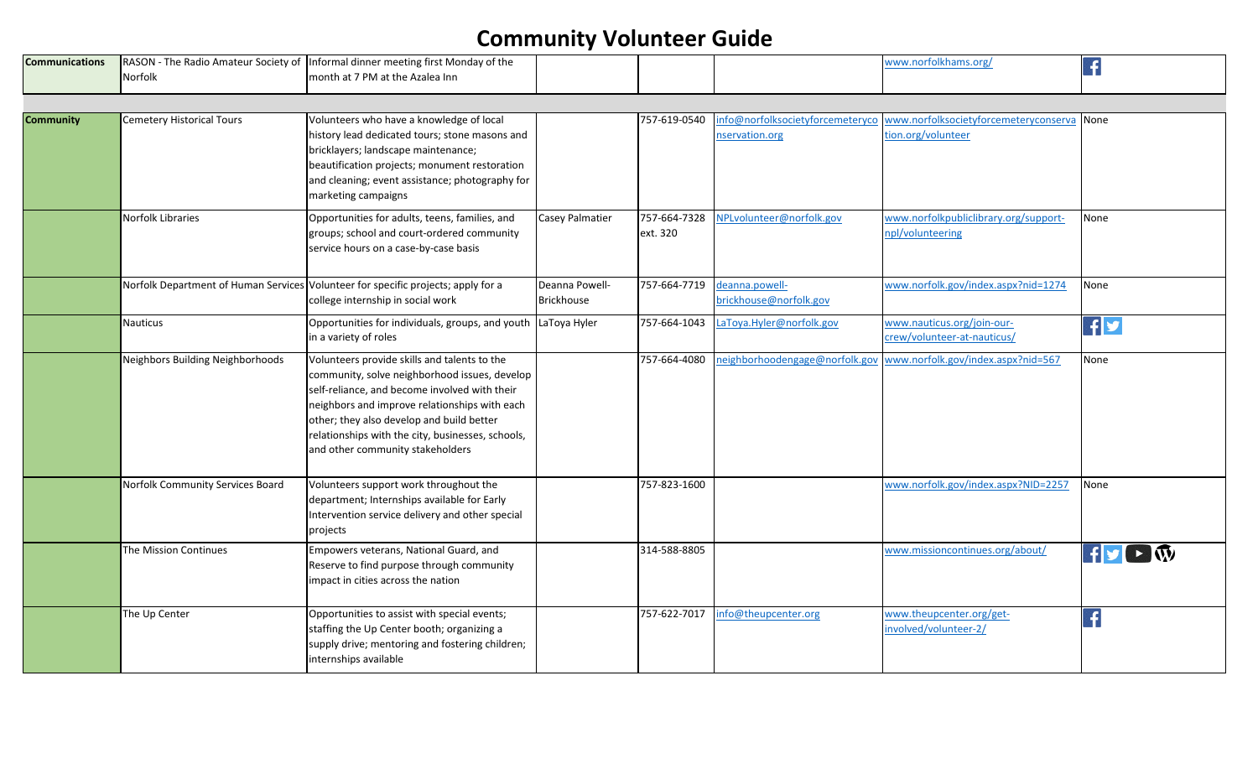| <b>Communications</b> |                | <b>IRASON - The Radio Amateur Society of Informal dinner meeting first Monday of the</b> |  |  |  |
|-----------------------|----------------|------------------------------------------------------------------------------------------|--|--|--|
|                       | <b>Norfolk</b> | month at 7 PM at the Azalea Inn                                                          |  |  |  |

| <b>Community</b> | <b>Cemetery Historical Tours</b> | Volunteers who have a knowledge of local<br>history lead dedicated tours; stone masons and<br>bricklayers; landscape maintenance;<br>beautification projects; monument restoration<br>and cleaning; event assistance; photography for<br>marketing campaigns                                                                          |                                     | 757-619-0540             | nfo@norfolksocietyforcemeteryco<br>nservation.org | www.norfolksocietyforcemeteryconserva None<br>tion.org/volunteer |                                                     |
|------------------|----------------------------------|---------------------------------------------------------------------------------------------------------------------------------------------------------------------------------------------------------------------------------------------------------------------------------------------------------------------------------------|-------------------------------------|--------------------------|---------------------------------------------------|------------------------------------------------------------------|-----------------------------------------------------|
|                  | Norfolk Libraries                | Opportunities for adults, teens, families, and<br>groups; school and court-ordered community<br>service hours on a case-by-case basis                                                                                                                                                                                                 | <b>Casey Palmatier</b>              | 757-664-7328<br>ext. 320 | NPLvolunteer@norfolk.gov                          | www.norfolkpubliclibrary.org/support-<br>npl/volunteering        | None                                                |
|                  |                                  | Norfolk Department of Human Services Volunteer for specific projects; apply for a<br>college internship in social work                                                                                                                                                                                                                | Deanna Powell-<br><b>Brickhouse</b> | 757-664-7719             | deanna.powell-<br>brickhouse@norfolk.gov          | www.norfolk.gov/index.aspx?nid=1274                              | None                                                |
|                  | <b>Nauticus</b>                  | Opportunities for individuals, groups, and youth LaToya Hyler<br>in a variety of roles                                                                                                                                                                                                                                                |                                     | 757-664-1043             | LaToya.Hyler@norfolk.gov                          | www.nauticus.org/join-our-<br>crew/volunteer-at-nauticus/        | f                                                   |
|                  | Neighbors Building Neighborhoods | Volunteers provide skills and talents to the<br>community, solve neighborhood issues, develop<br>self-reliance, and become involved with their<br>neighbors and improve relationships with each<br>other; they also develop and build better<br>relationships with the city, businesses, schools,<br>and other community stakeholders |                                     | 757-664-4080             | neighborhoodengage@norfolk.gov                    | www.norfolk.gov/index.aspx?nid=567                               | None                                                |
|                  | Norfolk Community Services Board | Volunteers support work throughout the<br>department; Internships available for Early<br>Intervention service delivery and other special<br>projects                                                                                                                                                                                  |                                     | 757-823-1600             |                                                   | www.norfolk.gov/index.aspx?NID=2257                              | None                                                |
|                  | The Mission Continues            | Empowers veterans, National Guard, and<br>Reserve to find purpose through community<br>impact in cities across the nation                                                                                                                                                                                                             |                                     | 314-588-8805             |                                                   | www.missioncontinues.org/about/                                  | $\mathbf{f}$ $\mathbf{y}$ $\mathbf{r}$ $\mathbf{w}$ |
|                  | The Up Center                    | Opportunities to assist with special events;<br>staffing the Up Center booth; organizing a<br>supply drive; mentoring and fostering children;<br>internships available                                                                                                                                                                |                                     | 757-622-7017             | info@theupcenter.org                              | www.theupcenter.org/get-<br>involved/volunteer-2/                | $\vert f \vert$                                     |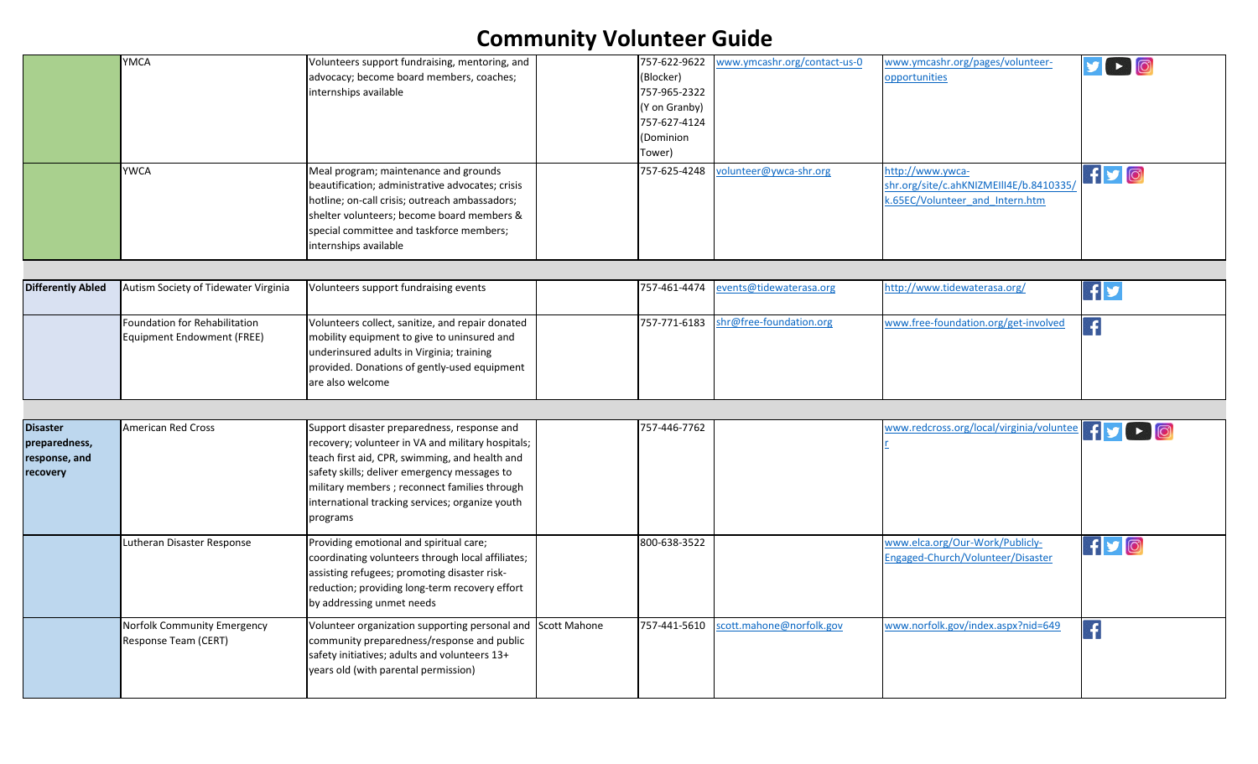|                                                               | <b>YMCA</b><br><b>YWCA</b>                                         | Volunteers support fundraising, mentoring, and<br>advocacy; become board members, coaches;<br>internships available<br>Meal program; maintenance and grounds                                                                                                                                                       | 757-622-9622<br>(Blocker)<br>757-965-2322<br>(Y on Granby)<br>757-627-4124<br>(Dominion<br>Tower)<br>757-625-4248 | www.ymcashr.org/contact-us-0<br>volunteer@ywca-shr.org | www.ymcashr.org/pages/volunteer-<br>opportunities<br>http://www.ywca-      | $\triangleright$ 0<br>$f$ $O$ |
|---------------------------------------------------------------|--------------------------------------------------------------------|--------------------------------------------------------------------------------------------------------------------------------------------------------------------------------------------------------------------------------------------------------------------------------------------------------------------|-------------------------------------------------------------------------------------------------------------------|--------------------------------------------------------|----------------------------------------------------------------------------|-------------------------------|
|                                                               |                                                                    | beautification; administrative advocates; crisis<br>hotline; on-call crisis; outreach ambassadors;<br>shelter volunteers; become board members &<br>special committee and taskforce members;<br>internships available                                                                                              |                                                                                                                   |                                                        | shr.org/site/c.ahKNIZMEIII4E/b.8410335/<br>k.65EC/Volunteer and Intern.htm |                               |
| <b>Differently Abled</b>                                      | Autism Society of Tidewater Virginia                               | Volunteers support fundraising events                                                                                                                                                                                                                                                                              | 757-461-4474                                                                                                      | events@tidewaterasa.org                                | http://www.tidewaterasa.org/                                               | $\mathbf{f}$ y                |
|                                                               | Foundation for Rehabilitation<br><b>Equipment Endowment (FREE)</b> | Volunteers collect, sanitize, and repair donated<br>mobility equipment to give to uninsured and<br>underinsured adults in Virginia; training<br>provided. Donations of gently-used equipment<br>are also welcome                                                                                                   | 757-771-6183                                                                                                      | shr@free-foundation.org                                | www.free-foundation.org/get-involved                                       | $\left  \cdot \right $        |
|                                                               |                                                                    |                                                                                                                                                                                                                                                                                                                    |                                                                                                                   |                                                        |                                                                            |                               |
| <b>Disaster</b><br>preparedness,<br>response, and<br>recovery | <b>American Red Cross</b>                                          | Support disaster preparedness, response and<br>recovery; volunteer in VA and military hospitals;<br>teach first aid, CPR, swimming, and health and<br>safety skills; deliver emergency messages to<br>military members ; reconnect families through<br>international tracking services; organize youth<br>programs | 757-446-7762                                                                                                      |                                                        | www.redcross.org/local/virginia/voluntee                                   |                               |
|                                                               | Lutheran Disaster Response                                         | Providing emotional and spiritual care;<br>coordinating volunteers through local affiliates;<br>assisting refugees; promoting disaster risk-<br>reduction; providing long-term recovery effort<br>by addressing unmet needs                                                                                        | 800-638-3522                                                                                                      |                                                        | www.elca.org/Our-Work/Publicly-<br>Engaged-Church/Volunteer/Disaster       | $f$ y $\odot$                 |
|                                                               | Norfolk Community Emergency<br>Response Team (CERT)                | Volunteer organization supporting personal and Scott Mahone<br>community preparedness/response and public<br>safety initiatives; adults and volunteers 13+<br>years old (with parental permission)                                                                                                                 | 757-441-5610                                                                                                      | scott.mahone@norfolk.gov                               | www.norfolk.gov/index.aspx?nid=649                                         | $\left  \cdot \right $        |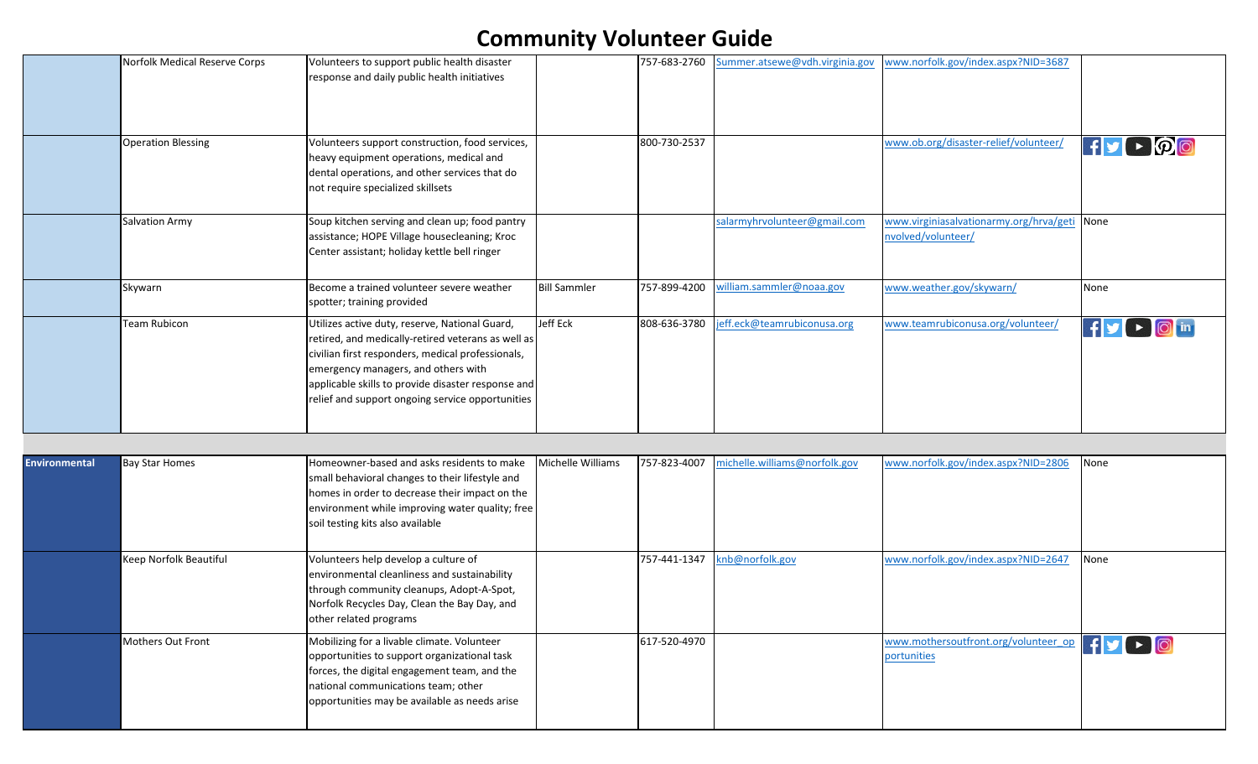|                      | Norfolk Medical Reserve Corps | Volunteers to support public health disaster<br>response and daily public health initiatives                                                                                                                                                                                                               |                     | 757-683-2760 | Summer.atsewe@vdh.virginia.gov | www.norfolk.gov/index.aspx?NID=3687                                 |                                         |
|----------------------|-------------------------------|------------------------------------------------------------------------------------------------------------------------------------------------------------------------------------------------------------------------------------------------------------------------------------------------------------|---------------------|--------------|--------------------------------|---------------------------------------------------------------------|-----------------------------------------|
|                      | <b>Operation Blessing</b>     | Volunteers support construction, food services,<br>heavy equipment operations, medical and<br>dental operations, and other services that do<br>not require specialized skillsets                                                                                                                           |                     | 800-730-2537 |                                | www.ob.org/disaster-relief/volunteer/                               | $H$ $\rightarrow$ $\mathcal{P}$ $\odot$ |
|                      | Salvation Army                | Soup kitchen serving and clean up; food pantry<br>assistance; HOPE Village housecleaning; Kroc<br>Center assistant; holiday kettle bell ringer                                                                                                                                                             |                     |              | salarmyhrvolunteer@gmail.com   | www.virginiasalvationarmy.org/hrva/geti None<br>nvolved/volunteer/  |                                         |
|                      | Skywarn                       | Become a trained volunteer severe weather<br>spotter; training provided                                                                                                                                                                                                                                    | <b>Bill Sammler</b> | 757-899-4200 | william.sammler@noaa.gov       | www.weather.gov/skywarn/                                            | None                                    |
|                      | <b>Team Rubicon</b>           | Utilizes active duty, reserve, National Guard,<br>retired, and medically-retired veterans as well as<br>civilian first responders, medical professionals,<br>emergency managers, and others with<br>applicable skills to provide disaster response and<br>relief and support ongoing service opportunities | Jeff Eck            | 808-636-3780 | jeff.eck@teamrubiconusa.org    | www.teamrubiconusa.org/volunteer/                                   | FV DOM                                  |
|                      |                               |                                                                                                                                                                                                                                                                                                            |                     |              |                                |                                                                     |                                         |
| <b>Environmental</b> | <b>Bay Star Homes</b>         | Homeowner-based and asks residents to make<br>small behavioral changes to their lifestyle and<br>homes in order to decrease their impact on the<br>environment while improving water quality; free<br>soil testing kits also available                                                                     | Michelle Williams   | 757-823-4007 | michelle.williams@norfolk.gov  | www.norfolk.gov/index.aspx?NID=2806                                 | None                                    |
|                      | Keep Norfolk Beautiful        | Volunteers help develop a culture of<br>environmental cleanliness and sustainability<br>through community cleanups, Adopt-A-Spot,<br>Norfolk Recycles Day, Clean the Bay Day, and<br>other related programs                                                                                                |                     | 757-441-1347 | knb@norfolk.gov                | www.norfolk.gov/index.aspx?NID=2647                                 | None                                    |
|                      | Mothers Out Front             | Mobilizing for a livable climate. Volunteer<br>opportunities to support organizational task<br>forces, the digital engagement team, and the<br>national communications team; other<br>opportunities may be available as needs arise                                                                        |                     | 617-520-4970 |                                | www.mothersoutfront.org/volunteer_op   f   s   b   0<br>portunities |                                         |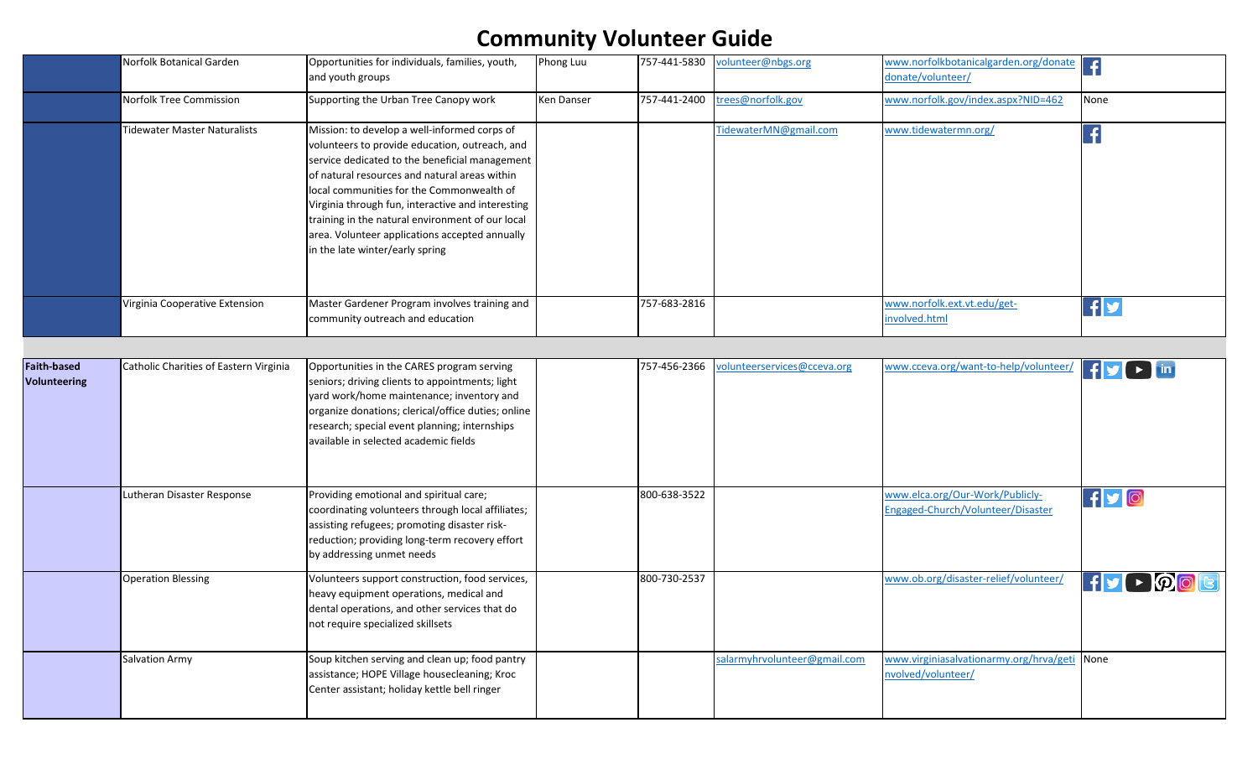|                                    | Norfolk Botanical Garden               | Opportunities for individuals, families, youth,<br>and youth groups                                                                                                                                                                                                                                                                                                                                                                          | Phong Luu  |              | 757-441-5830 volunteer@nbgs.org | www.norfolkbotanicalgarden.org/donate<br>donate/volunteer/           |                                                     |
|------------------------------------|----------------------------------------|----------------------------------------------------------------------------------------------------------------------------------------------------------------------------------------------------------------------------------------------------------------------------------------------------------------------------------------------------------------------------------------------------------------------------------------------|------------|--------------|---------------------------------|----------------------------------------------------------------------|-----------------------------------------------------|
|                                    | Norfolk Tree Commission                | Supporting the Urban Tree Canopy work                                                                                                                                                                                                                                                                                                                                                                                                        | Ken Danser | 757-441-2400 | trees@norfolk.gov               | www.norfolk.gov/index.aspx?NID=462                                   | None                                                |
|                                    | <b>Tidewater Master Naturalists</b>    | Mission: to develop a well-informed corps of<br>volunteers to provide education, outreach, and<br>service dedicated to the beneficial management<br>of natural resources and natural areas within<br>local communities for the Commonwealth of<br>Virginia through fun, interactive and interesting<br>training in the natural environment of our local<br>area. Volunteer applications accepted annually<br>in the late winter/early spring |            |              | TidewaterMN@gmail.com           | www.tidewatermn.org/                                                 | $\vert f$                                           |
|                                    | Virginia Cooperative Extension         | Master Gardener Program involves training and<br>community outreach and education                                                                                                                                                                                                                                                                                                                                                            |            | 757-683-2816 |                                 | www.norfolk.ext.vt.edu/get-<br>involved.html                         | $\mathbf{f}$                                        |
| <b>Faith-based</b><br>Volunteering | Catholic Charities of Eastern Virginia | Opportunities in the CARES program serving<br>seniors; driving clients to appointments; light<br>yard work/home maintenance; inventory and<br>organize donations; clerical/office duties; online<br>research; special event planning; internships<br>available in selected academic fields                                                                                                                                                   |            | 757-456-2366 | volunteerservices@cceva.org     | www.cceva.org/want-to-help/volunteer/                                | $\mathbf{f}$ $\mathbf{y}$ $\mathbf{r}$ $\mathbf{m}$ |
|                                    | Lutheran Disaster Response             | Providing emotional and spiritual care;<br>coordinating volunteers through local affiliates;<br>assisting refugees; promoting disaster risk-<br>reduction; providing long-term recovery effort<br>by addressing unmet needs                                                                                                                                                                                                                  |            | 800-638-3522 |                                 | www.elca.org/Our-Work/Publicly-<br>Engaged-Church/Volunteer/Disaster | $f$ y $\circ$                                       |
|                                    | <b>Operation Blessing</b>              | Volunteers support construction, food services,<br>heavy equipment operations, medical and<br>dental operations, and other services that do<br>not require specialized skillsets                                                                                                                                                                                                                                                             |            | 800-730-2537 |                                 | www.ob.org/disaster-relief/volunteer/                                | $f \cdot \rho$ ol                                   |
|                                    | <b>Salvation Army</b>                  | Soup kitchen serving and clean up; food pantry<br>assistance; HOPE Village housecleaning; Kroc<br>Center assistant; holiday kettle bell ringer                                                                                                                                                                                                                                                                                               |            |              | salarmyhrvolunteer@gmail.com    | www.virginiasalvationarmy.org/hrva/geti None<br>nvolved/volunteer/   |                                                     |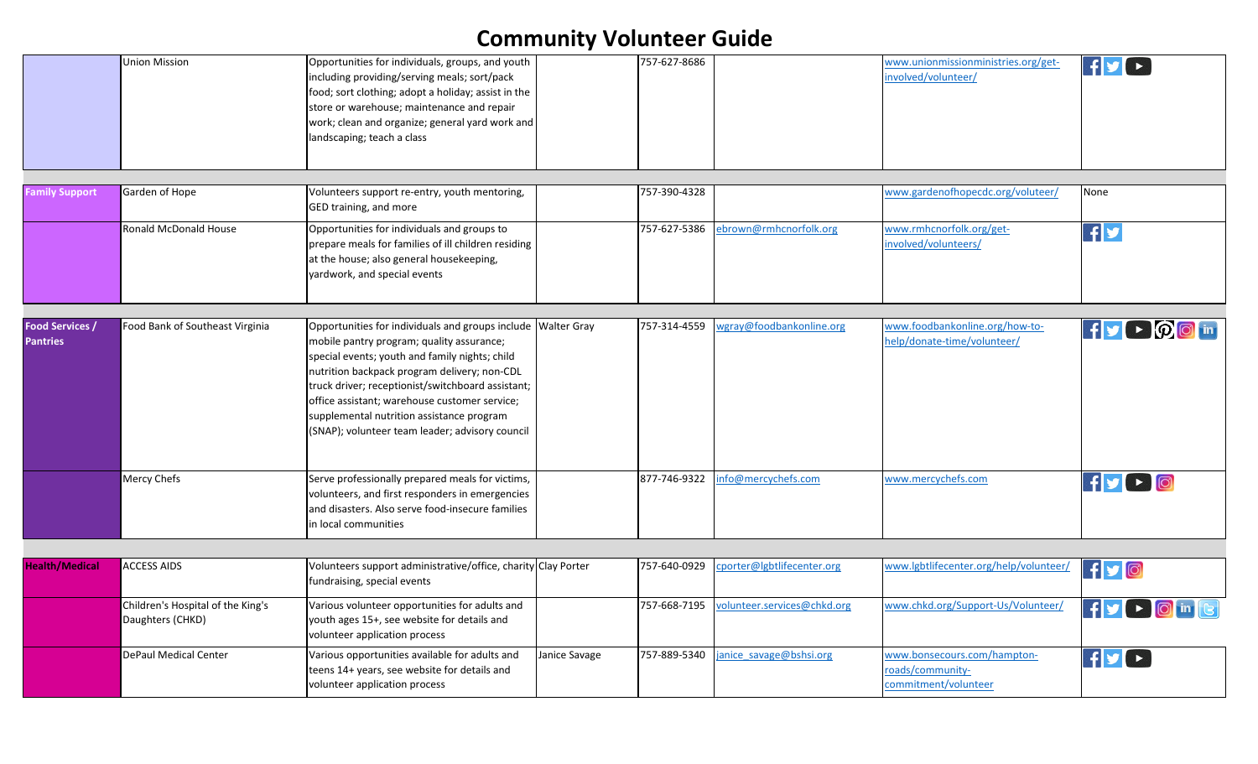|                                           | <b>Union Mission</b>                                  | Opportunities for individuals, groups, and youth<br>including providing/serving meals; sort/pack<br>food; sort clothing; adopt a holiday; assist in the<br>store or warehouse; maintenance and repair<br>work; clean and organize; general yard work and<br>landscaping; teach a class                                                                                                                            |               | 757-627-8686 |                             | www.unionmissionministries.org/get-<br>nvolved/volunteer/               |                       |
|-------------------------------------------|-------------------------------------------------------|-------------------------------------------------------------------------------------------------------------------------------------------------------------------------------------------------------------------------------------------------------------------------------------------------------------------------------------------------------------------------------------------------------------------|---------------|--------------|-----------------------------|-------------------------------------------------------------------------|-----------------------|
|                                           |                                                       |                                                                                                                                                                                                                                                                                                                                                                                                                   |               |              |                             |                                                                         |                       |
| <b>Family Support</b>                     | Garden of Hope                                        | Volunteers support re-entry, youth mentoring,<br>GED training, and more                                                                                                                                                                                                                                                                                                                                           |               | 757-390-4328 |                             | www.gardenofhopecdc.org/voluteer/                                       | None                  |
|                                           | Ronald McDonald House                                 | Opportunities for individuals and groups to<br>prepare meals for families of ill children residing<br>at the house; also general housekeeping,<br>yardwork, and special events                                                                                                                                                                                                                                    |               | 757-627-5386 | ebrown@rmhcnorfolk.org      | www.rmhcnorfolk.org/get-<br>involved/volunteers/                        | f                     |
|                                           |                                                       |                                                                                                                                                                                                                                                                                                                                                                                                                   |               |              |                             |                                                                         |                       |
| <b>Food Services /</b><br><b>Pantries</b> | Food Bank of Southeast Virginia                       | Opportunities for individuals and groups include Walter Gray<br>mobile pantry program; quality assurance;<br>special events; youth and family nights; child<br>nutrition backpack program delivery; non-CDL<br>truck driver; receptionist/switchboard assistant;<br>office assistant; warehouse customer service;<br>supplemental nutrition assistance program<br>(SNAP); volunteer team leader; advisory council |               | 757-314-4559 | wgray@foodbankonline.org    | www.foodbankonline.org/how-to-<br>help/donate-time/volunteer/           | <b>If y D D O in</b>  |
|                                           | <b>Mercy Chefs</b>                                    | Serve professionally prepared meals for victims,<br>volunteers, and first responders in emergencies<br>and disasters. Also serve food-insecure families<br>in local communities                                                                                                                                                                                                                                   |               | 877-746-9322 | nfo@mercychefs.com          | www.mercychefs.com                                                      | $f$ y $\rightarrow$ 0 |
|                                           |                                                       |                                                                                                                                                                                                                                                                                                                                                                                                                   |               |              |                             |                                                                         |                       |
| <b>Health/Medical</b>                     | <b>ACCESS AIDS</b>                                    | Volunteers support administrative/office, charity Clay Porter<br>fundraising, special events                                                                                                                                                                                                                                                                                                                      |               | 757-640-0929 | porter@lgbtlifecenter.org   | www.lgbtlifecenter.org/help/volunteer/                                  | $f$ yo                |
|                                           | Children's Hospital of the King's<br>Daughters (CHKD) | Various volunteer opportunities for adults and<br>youth ages 15+, see website for details and<br>volunteer application process                                                                                                                                                                                                                                                                                    |               | 757-668-7195 | volunteer.services@chkd.org | www.chkd.org/Support-Us/Volunteer/                                      | FV D O in G           |
|                                           | <b>DePaul Medical Center</b>                          | Various opportunities available for adults and<br>teens 14+ years, see website for details and<br>volunteer application process                                                                                                                                                                                                                                                                                   | Janice Savage | 757-889-5340 | anice savage@bshsi.org      | www.bonsecours.com/hampton-<br>roads/community-<br>commitment/volunteer | $f$ $V$               |
|                                           |                                                       |                                                                                                                                                                                                                                                                                                                                                                                                                   |               |              |                             |                                                                         |                       |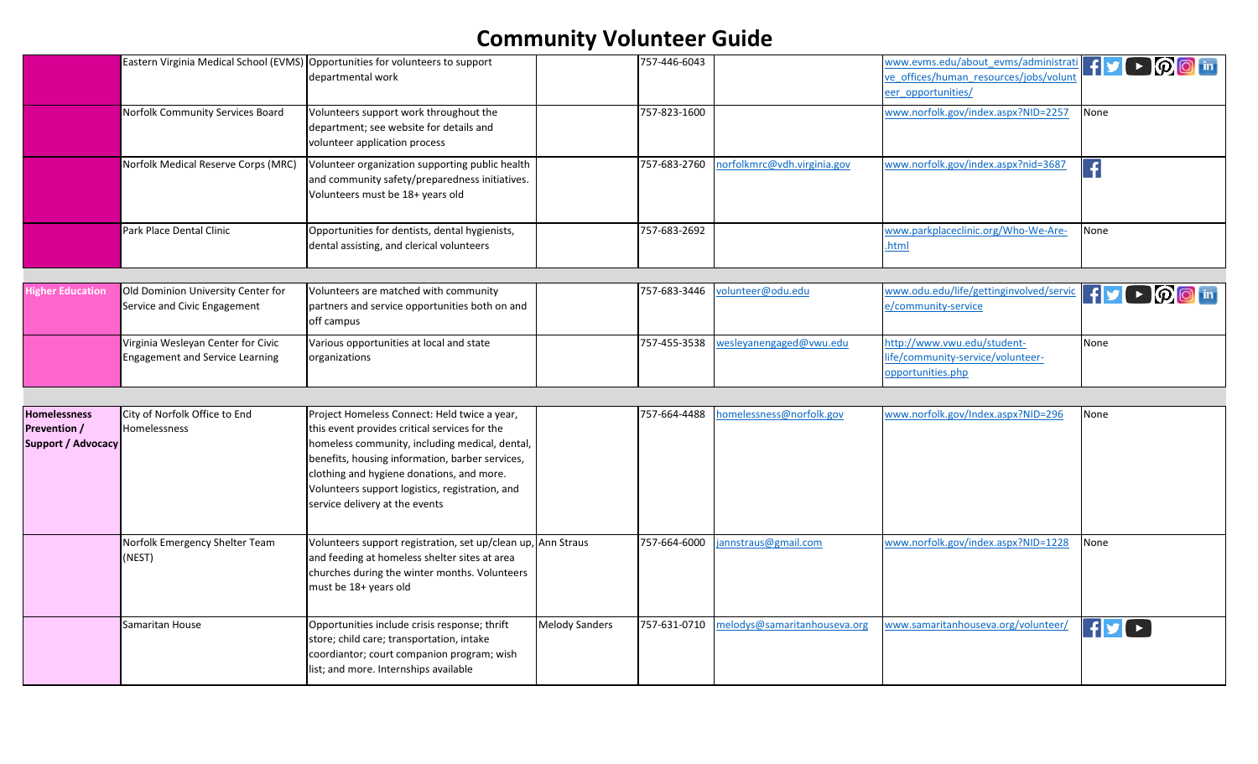|                                                                  |                                                                              | Eastern Virginia Medical School (EVMS) Opportunities for volunteers to support<br>departmental work                                                                                                                                                                                                                                  |                       | 757-446-6043 |                              | www.evms.edu/about evms/administration $\mathbf{F}$ $\mathbf{y}$ $\mathbf{F}$ $\mathbf{O}$ $\mathbf{O}$ in<br>re offices/human resources/jobs/volunt<br>eer opportunities/ |                                               |
|------------------------------------------------------------------|------------------------------------------------------------------------------|--------------------------------------------------------------------------------------------------------------------------------------------------------------------------------------------------------------------------------------------------------------------------------------------------------------------------------------|-----------------------|--------------|------------------------------|----------------------------------------------------------------------------------------------------------------------------------------------------------------------------|-----------------------------------------------|
|                                                                  | Norfolk Community Services Board                                             | Volunteers support work throughout the<br>department; see website for details and<br>volunteer application process                                                                                                                                                                                                                   |                       | 757-823-1600 |                              | www.norfolk.gov/index.aspx?NID=2257                                                                                                                                        | None                                          |
|                                                                  | Norfolk Medical Reserve Corps (MRC)                                          | Volunteer organization supporting public health<br>and community safety/preparedness initiatives.<br>Volunteers must be 18+ years old                                                                                                                                                                                                |                       | 757-683-2760 | norfolkmrc@vdh.virginia.gov  | www.norfolk.gov/index.aspx?nid=3687                                                                                                                                        | $ \hspace{.06cm} \textbf{.} \hspace{.06cm}  $ |
|                                                                  | Park Place Dental Clinic                                                     | Opportunities for dentists, dental hygienists,<br>dental assisting, and clerical volunteers                                                                                                                                                                                                                                          |                       | 757-683-2692 |                              | www.parkplaceclinic.org/Who-We-Are-<br>.html                                                                                                                               | None                                          |
|                                                                  |                                                                              |                                                                                                                                                                                                                                                                                                                                      |                       |              |                              |                                                                                                                                                                            |                                               |
| <b>ligher Education</b>                                          | Old Dominion University Center for<br>Service and Civic Engagement           | Volunteers are matched with community<br>partners and service opportunities both on and<br>off campus                                                                                                                                                                                                                                |                       | 757-683-3446 | volunteer@odu.edu            | www.odu.edu/life/gettinginvolved/servic<br>e/community-service                                                                                                             | FVP @ m                                       |
|                                                                  | Virginia Wesleyan Center for Civic<br><b>Engagement and Service Learning</b> | Various opportunities at local and state<br>organizations                                                                                                                                                                                                                                                                            |                       | 757-455-3538 | wesleyanengaged@vwu.edu      | http://www.vwu.edu/student-<br>life/community-service/volunteer-<br>opportunities.php                                                                                      | None                                          |
|                                                                  |                                                                              |                                                                                                                                                                                                                                                                                                                                      |                       |              |                              |                                                                                                                                                                            |                                               |
| <b>Homelessness</b><br>Prevention /<br><b>Support / Advocacy</b> | City of Norfolk Office to End<br>Homelessness                                | Project Homeless Connect: Held twice a year,<br>this event provides critical services for the<br>homeless community, including medical, dental,<br>benefits, housing information, barber services,<br>clothing and hygiene donations, and more.<br>Volunteers support logistics, registration, and<br>service delivery at the events |                       | 757-664-4488 | nomelessness@norfolk.gov     | www.norfolk.gov/Index.aspx?NID=296                                                                                                                                         | None                                          |
|                                                                  | Norfolk Emergency Shelter Team<br>(NEST)                                     | Volunteers support registration, set up/clean up, Ann Straus<br>and feeding at homeless shelter sites at area<br>churches during the winter months. Volunteers<br>must be 18+ years old                                                                                                                                              |                       | 757-664-6000 | annstraus@gmail.com          | www.norfolk.gov/index.aspx?NID=1228                                                                                                                                        | None                                          |
|                                                                  | Samaritan House                                                              | Opportunities include crisis response; thrift<br>store; child care; transportation, intake<br>coordiantor; court companion program; wish<br>list; and more. Internships available                                                                                                                                                    | <b>Melody Sanders</b> | 757-631-0710 | nelodys@samaritanhouseva.org | www.samaritanhouseva.org/volunteer/                                                                                                                                        | $f$ $\mathbf{y}$ $\mathbf{r}$                 |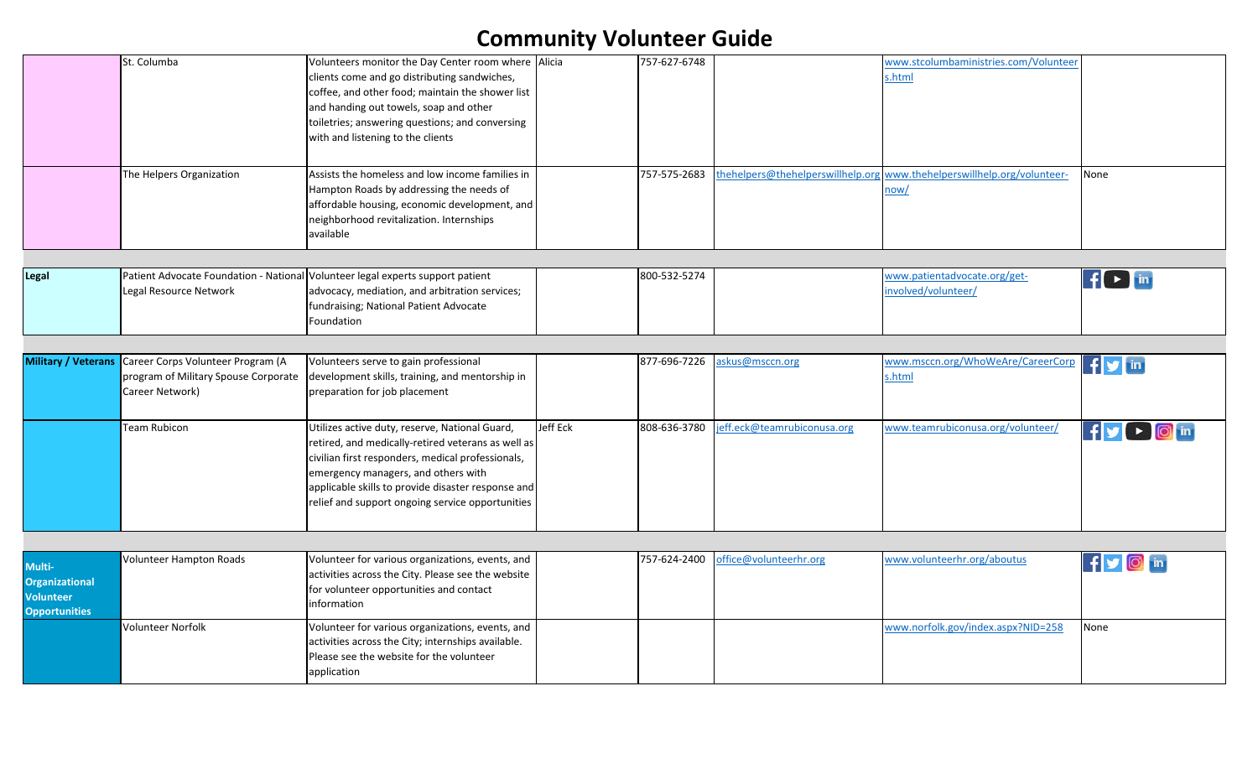|                                                                      | St. Columba                                                                                  | Volunteers monitor the Day Center room where Alicia<br>clients come and go distributing sandwiches,<br>coffee, and other food; maintain the shower list<br>and handing out towels, soap and other<br>toiletries; answering questions; and conversing<br>with and listening to the clients                  |          | 757-627-6748 |                                   | www.stcolumbaministries.com/Volunteer<br>s.html     |                     |
|----------------------------------------------------------------------|----------------------------------------------------------------------------------------------|------------------------------------------------------------------------------------------------------------------------------------------------------------------------------------------------------------------------------------------------------------------------------------------------------------|----------|--------------|-----------------------------------|-----------------------------------------------------|---------------------|
|                                                                      | The Helpers Organization                                                                     | Assists the homeless and low income families in<br>Hampton Roads by addressing the needs of<br>affordable housing, economic development, and<br>neighborhood revitalization. Internships<br>available                                                                                                      |          | 757-575-2683 | thehelpers@thehelperswillhelp.org | www.thehelperswillhelp.org/volunteer-<br>now/       | None                |
| Legal                                                                | Legal Resource Network                                                                       | Patient Advocate Foundation - National Volunteer legal experts support patient<br>advocacy, mediation, and arbitration services;<br>fundraising; National Patient Advocate<br>Foundation                                                                                                                   |          | 800-532-5274 |                                   | www.patientadvocate.org/get-<br>involved/volunteer/ | $f(\rightarrow)$ in |
| <b>Military / Veterans</b>                                           | Career Corps Volunteer Program (A<br>program of Military Spouse Corporate<br>Career Network) | Volunteers serve to gain professional<br>development skills, training, and mentorship in<br>preparation for job placement                                                                                                                                                                                  |          | 877-696-7226 | askus@msccn.org                   | www.msccn.org/WhoWeAre/CareerCorp<br>s.html         | $f(y)$ in           |
|                                                                      | <b>Team Rubicon</b>                                                                          | Utilizes active duty, reserve, National Guard,<br>retired, and medically-retired veterans as well as<br>civilian first responders, medical professionals,<br>emergency managers, and others with<br>applicable skills to provide disaster response and<br>relief and support ongoing service opportunities | Jeff Eck | 808-636-3780 | jeff.eck@teamrubiconusa.org       | www.teamrubiconusa.org/volunteer/                   | FV D O in           |
| Multi-<br><b>Organizational</b><br>Volunteer<br><b>Opportunities</b> | Volunteer Hampton Roads                                                                      | Volunteer for various organizations, events, and<br>activities across the City. Please see the website<br>for volunteer opportunities and contact<br>information                                                                                                                                           |          | 757-624-2400 | office@volunteerhr.org            | www.volunteerhr.org/aboutus                         | f o d in            |
|                                                                      | Volunteer Norfolk                                                                            | Volunteer for various organizations, events, and<br>activities across the City; internships available.<br>Please see the website for the volunteer<br>application                                                                                                                                          |          |              |                                   | www.norfolk.gov/index.aspx?NID=258                  | None                |